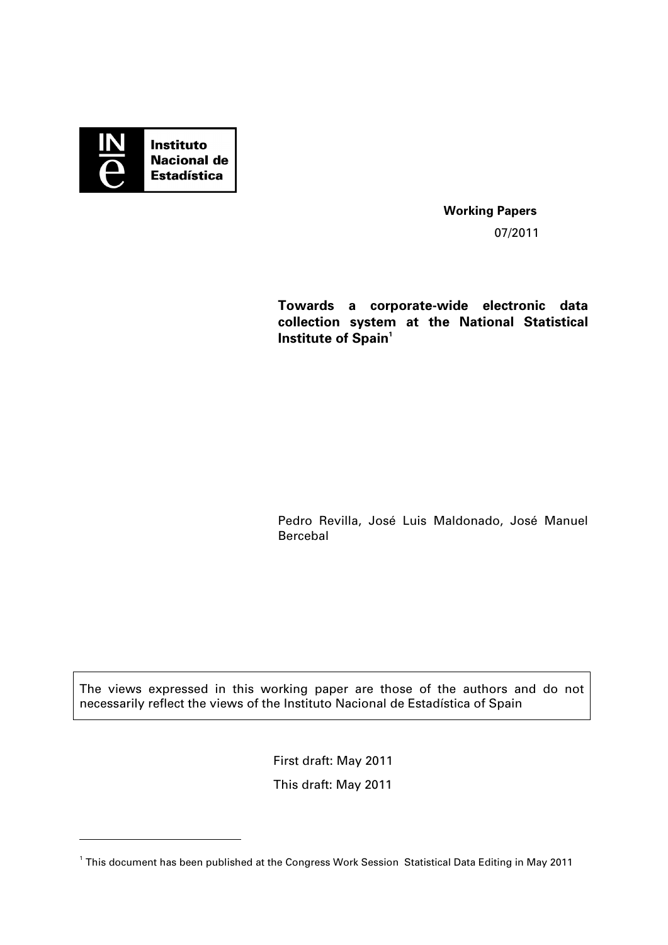

-

**Working Papers**  07/2011

**Towards a corporate-wide electronic data collection system at the National Statistical Institute of Spain<sup>1</sup>** 

Pedro Revilla, José Luis Maldonado, José Manuel Bercebal

The views expressed in this working paper are those of the authors and do not necessarily reflect the views of the Instituto Nacional de Estadística of Spain

First draft: May 2011

This draft: May 2011

<sup>1</sup> This document has been published at the Congress Work Session Statistical Data Editing in May 2011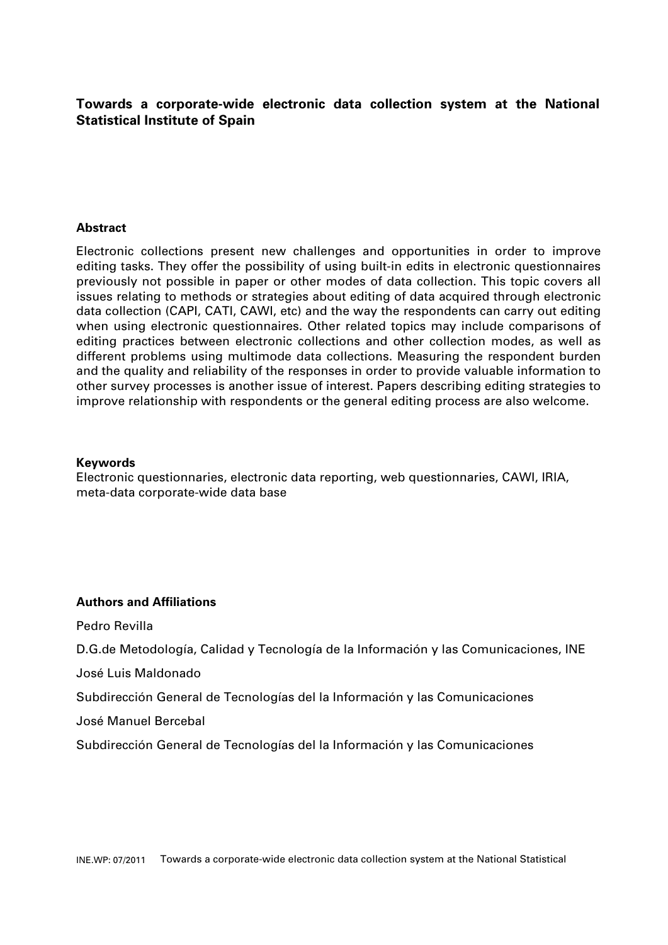# **Towards a corporate-wide electronic data collection system at the National Statistical Institute of Spain**

## **Abstract**

Electronic collections present new challenges and opportunities in order to improve editing tasks. They offer the possibility of using built-in edits in electronic questionnaires previously not possible in paper or other modes of data collection. This topic covers all issues relating to methods or strategies about editing of data acquired through electronic data collection (CAPI, CATI, CAWI, etc) and the way the respondents can carry out editing when using electronic questionnaires. Other related topics may include comparisons of editing practices between electronic collections and other collection modes, as well as different problems using multimode data collections. Measuring the respondent burden and the quality and reliability of the responses in order to provide valuable information to other survey processes is another issue of interest. Papers describing editing strategies to improve relationship with respondents or the general editing process are also welcome.

#### **Keywords**

Electronic questionnaries, electronic data reporting, web questionnaries, CAWI, IRIA, meta-data corporate-wide data base

#### **Authors and Affiliations**

Pedro Revilla

D.G.de Metodología, Calidad y Tecnología de la Información y las Comunicaciones, INE

José Luis Maldonado

Subdirección General de Tecnologías del la Información y las Comunicaciones

José Manuel Bercebal

Subdirección General de Tecnologías del la Información y las Comunicaciones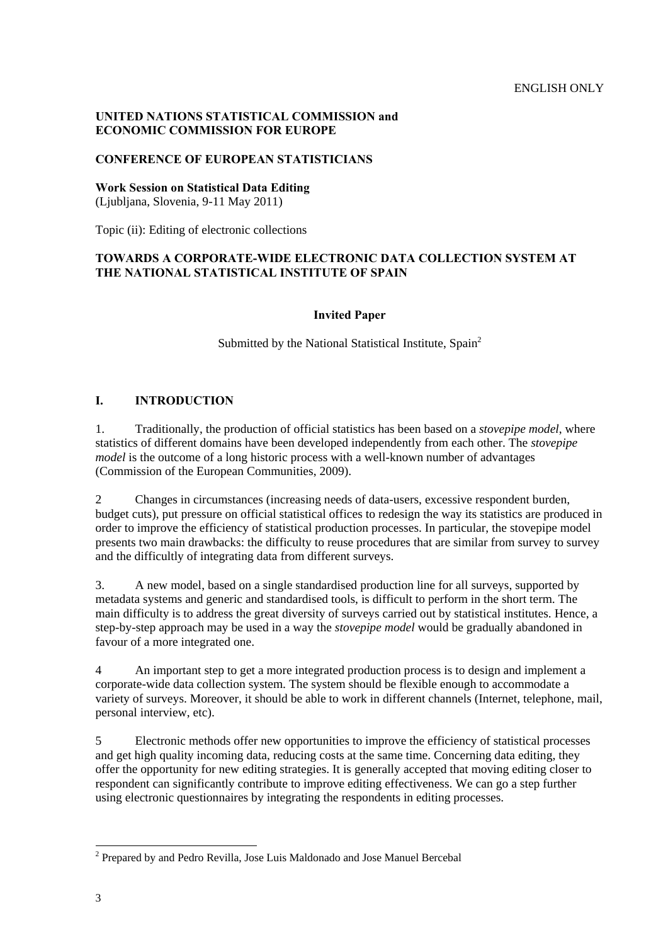## **UNITED NATIONS STATISTICAL COMMISSION and ECONOMIC COMMISSION FOR EUROPE**

## **CONFERENCE OF EUROPEAN STATISTICIANS**

**Work Session on Statistical Data Editing** 

(Ljubljana, Slovenia, 9-11 May 2011)

Topic (ii): Editing of electronic collections

## **TOWARDS A CORPORATE-WIDE ELECTRONIC DATA COLLECTION SYSTEM AT THE NATIONAL STATISTICAL INSTITUTE OF SPAIN**

#### **Invited Paper**

Submitted by the National Statistical Institute, Spain<sup>2</sup>

## **I. INTRODUCTION**

1. Traditionally, the production of official statistics has been based on a *stovepipe model*, where statistics of different domains have been developed independently from each other. The *stovepipe model* is the outcome of a long historic process with a well-known number of advantages (Commission of the European Communities, 2009).

2 Changes in circumstances (increasing needs of data-users, excessive respondent burden, budget cuts), put pressure on official statistical offices to redesign the way its statistics are produced in order to improve the efficiency of statistical production processes. In particular, the stovepipe model presents two main drawbacks: the difficulty to reuse procedures that are similar from survey to survey and the difficultly of integrating data from different surveys.

3. A new model, based on a single standardised production line for all surveys, supported by metadata systems and generic and standardised tools, is difficult to perform in the short term. The main difficulty is to address the great diversity of surveys carried out by statistical institutes. Hence, a step-by-step approach may be used in a way the *stovepipe model* would be gradually abandoned in favour of a more integrated one.

4 An important step to get a more integrated production process is to design and implement a corporate-wide data collection system. The system should be flexible enough to accommodate a variety of surveys. Moreover, it should be able to work in different channels (Internet, telephone, mail, personal interview, etc).

5 Electronic methods offer new opportunities to improve the efficiency of statistical processes and get high quality incoming data, reducing costs at the same time. Concerning data editing, they offer the opportunity for new editing strategies. It is generally accepted that moving editing closer to respondent can significantly contribute to improve editing effectiveness. We can go a step further using electronic questionnaires by integrating the respondents in editing processes.

 $\overline{a}$ 

<sup>&</sup>lt;sup>2</sup> Prepared by and Pedro Revilla, Jose Luis Maldonado and Jose Manuel Bercebal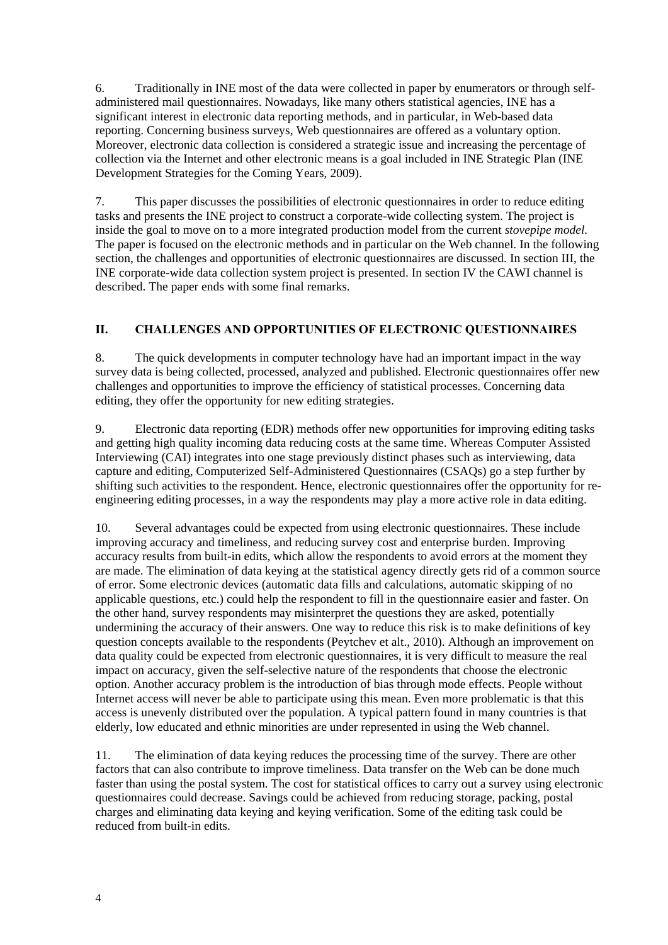6. Traditionally in INE most of the data were collected in paper by enumerators or through selfadministered mail questionnaires. Nowadays, like many others statistical agencies, INE has a significant interest in electronic data reporting methods, and in particular, in Web-based data reporting. Concerning business surveys, Web questionnaires are offered as a voluntary option. Moreover, electronic data collection is considered a strategic issue and increasing the percentage of collection via the Internet and other electronic means is a goal included in INE Strategic Plan (INE Development Strategies for the Coming Years, 2009).

7. This paper discusses the possibilities of electronic questionnaires in order to reduce editing tasks and presents the INE project to construct a corporate-wide collecting system. The project is inside the goal to move on to a more integrated production model from the current *stovepipe model.* The paper is focused on the electronic methods and in particular on the Web channel. In the following section, the challenges and opportunities of electronic questionnaires are discussed. In section III, the INE corporate-wide data collection system project is presented. In section IV the CAWI channel is described. The paper ends with some final remarks.

## **II. CHALLENGES AND OPPORTUNITIES OF ELECTRONIC QUESTIONNAIRES**

8. The quick developments in computer technology have had an important impact in the way survey data is being collected, processed, analyzed and published. Electronic questionnaires offer new challenges and opportunities to improve the efficiency of statistical processes. Concerning data editing, they offer the opportunity for new editing strategies.

9. Electronic data reporting (EDR) methods offer new opportunities for improving editing tasks and getting high quality incoming data reducing costs at the same time. Whereas Computer Assisted Interviewing (CAI) integrates into one stage previously distinct phases such as interviewing, data capture and editing, Computerized Self-Administered Questionnaires (CSAQs) go a step further by shifting such activities to the respondent. Hence, electronic questionnaires offer the opportunity for reengineering editing processes, in a way the respondents may play a more active role in data editing.

10. Several advantages could be expected from using electronic questionnaires. These include improving accuracy and timeliness, and reducing survey cost and enterprise burden. Improving accuracy results from built-in edits, which allow the respondents to avoid errors at the moment they are made. The elimination of data keying at the statistical agency directly gets rid of a common source of error. Some electronic devices (automatic data fills and calculations, automatic skipping of no applicable questions, etc.) could help the respondent to fill in the questionnaire easier and faster. On the other hand, survey respondents may misinterpret the questions they are asked, potentially undermining the accuracy of their answers. One way to reduce this risk is to make definitions of key question concepts available to the respondents (Peytchev et alt., 2010). Although an improvement on data quality could be expected from electronic questionnaires, it is very difficult to measure the real impact on accuracy, given the self-selective nature of the respondents that choose the electronic option. Another accuracy problem is the introduction of bias through mode effects. People without Internet access will never be able to participate using this mean. Even more problematic is that this access is unevenly distributed over the population. A typical pattern found in many countries is that elderly, low educated and ethnic minorities are under represented in using the Web channel.

11. The elimination of data keying reduces the processing time of the survey. There are other factors that can also contribute to improve timeliness. Data transfer on the Web can be done much faster than using the postal system. The cost for statistical offices to carry out a survey using electronic questionnaires could decrease. Savings could be achieved from reducing storage, packing, postal charges and eliminating data keying and keying verification. Some of the editing task could be reduced from built-in edits.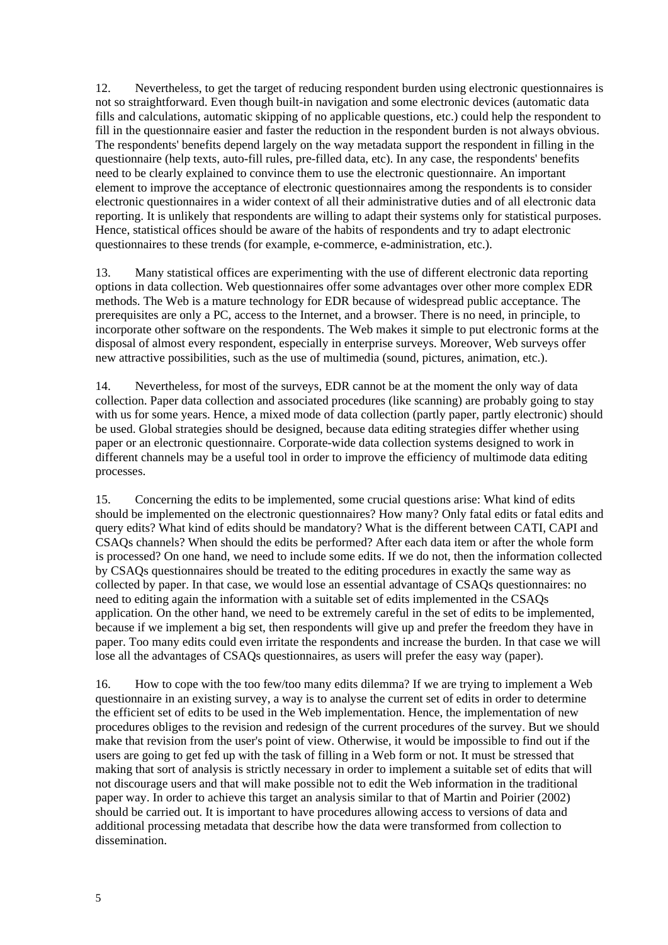12. Nevertheless, to get the target of reducing respondent burden using electronic questionnaires is not so straightforward. Even though built-in navigation and some electronic devices (automatic data fills and calculations, automatic skipping of no applicable questions, etc.) could help the respondent to fill in the questionnaire easier and faster the reduction in the respondent burden is not always obvious. The respondents' benefits depend largely on the way metadata support the respondent in filling in the questionnaire (help texts, auto-fill rules, pre-filled data, etc). In any case, the respondents' benefits need to be clearly explained to convince them to use the electronic questionnaire. An important element to improve the acceptance of electronic questionnaires among the respondents is to consider electronic questionnaires in a wider context of all their administrative duties and of all electronic data reporting. It is unlikely that respondents are willing to adapt their systems only for statistical purposes. Hence, statistical offices should be aware of the habits of respondents and try to adapt electronic questionnaires to these trends (for example, e-commerce, e-administration, etc.).

13. Many statistical offices are experimenting with the use of different electronic data reporting options in data collection. Web questionnaires offer some advantages over other more complex EDR methods. The Web is a mature technology for EDR because of widespread public acceptance. The prerequisites are only a PC, access to the Internet, and a browser. There is no need, in principle, to incorporate other software on the respondents. The Web makes it simple to put electronic forms at the disposal of almost every respondent, especially in enterprise surveys. Moreover, Web surveys offer new attractive possibilities, such as the use of multimedia (sound, pictures, animation, etc.).

14. Nevertheless, for most of the surveys, EDR cannot be at the moment the only way of data collection. Paper data collection and associated procedures (like scanning) are probably going to stay with us for some years. Hence, a mixed mode of data collection (partly paper, partly electronic) should be used. Global strategies should be designed, because data editing strategies differ whether using paper or an electronic questionnaire. Corporate-wide data collection systems designed to work in different channels may be a useful tool in order to improve the efficiency of multimode data editing processes.

15. Concerning the edits to be implemented, some crucial questions arise: What kind of edits should be implemented on the electronic questionnaires? How many? Only fatal edits or fatal edits and query edits? What kind of edits should be mandatory? What is the different between CATI, CAPI and CSAQs channels? When should the edits be performed? After each data item or after the whole form is processed? On one hand, we need to include some edits. If we do not, then the information collected by CSAQs questionnaires should be treated to the editing procedures in exactly the same way as collected by paper. In that case, we would lose an essential advantage of CSAQs questionnaires: no need to editing again the information with a suitable set of edits implemented in the CSAQs application*.* On the other hand, we need to be extremely careful in the set of edits to be implemented, because if we implement a big set, then respondents will give up and prefer the freedom they have in paper. Too many edits could even irritate the respondents and increase the burden. In that case we will lose all the advantages of CSAQs questionnaires, as users will prefer the easy way (paper).

16. How to cope with the too few/too many edits dilemma? If we are trying to implement a Web questionnaire in an existing survey, a way is to analyse the current set of edits in order to determine the efficient set of edits to be used in the Web implementation. Hence, the implementation of new procedures obliges to the revision and redesign of the current procedures of the survey. But we should make that revision from the user's point of view. Otherwise, it would be impossible to find out if the users are going to get fed up with the task of filling in a Web form or not. It must be stressed that making that sort of analysis is strictly necessary in order to implement a suitable set of edits that will not discourage users and that will make possible not to edit the Web information in the traditional paper way. In order to achieve this target an analysis similar to that of Martin and Poirier (2002) should be carried out. It is important to have procedures allowing access to versions of data and additional processing metadata that describe how the data were transformed from collection to dissemination.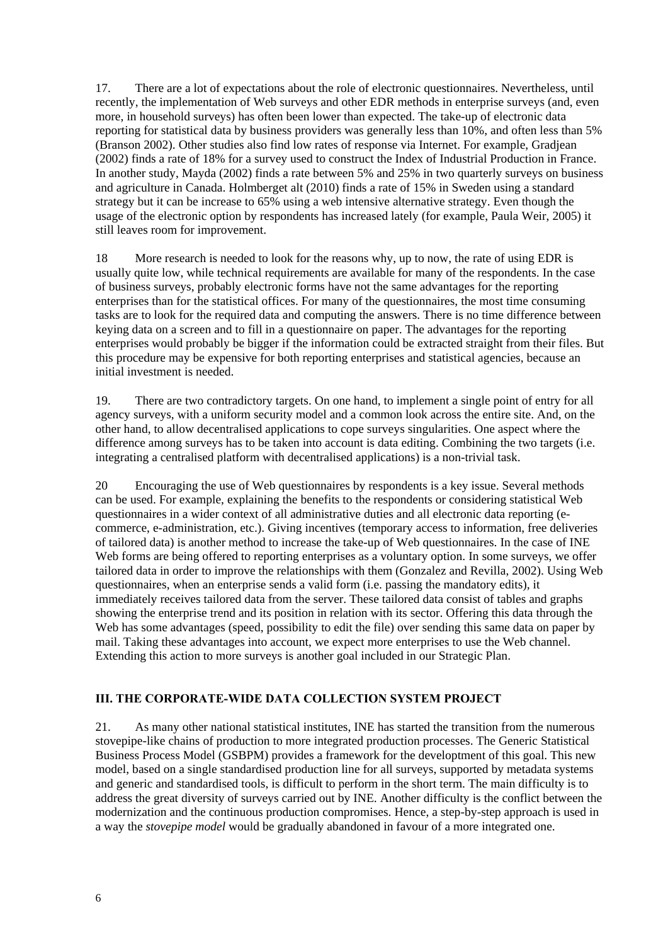17. There are a lot of expectations about the role of electronic questionnaires. Nevertheless, until recently, the implementation of Web surveys and other EDR methods in enterprise surveys (and, even more, in household surveys) has often been lower than expected. The take-up of electronic data reporting for statistical data by business providers was generally less than 10%, and often less than 5% (Branson 2002). Other studies also find low rates of response via Internet. For example, Gradjean (2002) finds a rate of 18% for a survey used to construct the Index of Industrial Production in France. In another study, Mayda (2002) finds a rate between 5% and 25% in two quarterly surveys on business and agriculture in Canada. Holmberget alt (2010) finds a rate of 15% in Sweden using a standard strategy but it can be increase to 65% using a web intensive alternative strategy. Even though the usage of the electronic option by respondents has increased lately (for example, Paula Weir, 2005) it still leaves room for improvement.

18 More research is needed to look for the reasons why, up to now, the rate of using EDR is usually quite low, while technical requirements are available for many of the respondents. In the case of business surveys, probably electronic forms have not the same advantages for the reporting enterprises than for the statistical offices. For many of the questionnaires, the most time consuming tasks are to look for the required data and computing the answers. There is no time difference between keying data on a screen and to fill in a questionnaire on paper. The advantages for the reporting enterprises would probably be bigger if the information could be extracted straight from their files. But this procedure may be expensive for both reporting enterprises and statistical agencies, because an initial investment is needed.

19. There are two contradictory targets. On one hand, to implement a single point of entry for all agency surveys, with a uniform security model and a common look across the entire site. And, on the other hand, to allow decentralised applications to cope surveys singularities. One aspect where the difference among surveys has to be taken into account is data editing. Combining the two targets (i.e. integrating a centralised platform with decentralised applications) is a non-trivial task.

20 Encouraging the use of Web questionnaires by respondents is a key issue. Several methods can be used. For example, explaining the benefits to the respondents or considering statistical Web questionnaires in a wider context of all administrative duties and all electronic data reporting (ecommerce, e-administration, etc.). Giving incentives (temporary access to information, free deliveries of tailored data) is another method to increase the take-up of Web questionnaires. In the case of INE Web forms are being offered to reporting enterprises as a voluntary option. In some surveys, we offer tailored data in order to improve the relationships with them (Gonzalez and Revilla, 2002). Using Web questionnaires, when an enterprise sends a valid form (i.e. passing the mandatory edits), it immediately receives tailored data from the server. These tailored data consist of tables and graphs showing the enterprise trend and its position in relation with its sector. Offering this data through the Web has some advantages (speed, possibility to edit the file) over sending this same data on paper by mail. Taking these advantages into account, we expect more enterprises to use the Web channel. Extending this action to more surveys is another goal included in our Strategic Plan.

## **III. THE CORPORATE-WIDE DATA COLLECTION SYSTEM PROJECT**

21. As many other national statistical institutes, INE has started the transition from the numerous stovepipe-like chains of production to more integrated production processes. The Generic Statistical Business Process Model (GSBPM) provides a framework for the developtment of this goal. This new model, based on a single standardised production line for all surveys, supported by metadata systems and generic and standardised tools, is difficult to perform in the short term. The main difficulty is to address the great diversity of surveys carried out by INE. Another difficulty is the conflict between the modernization and the continuous production compromises. Hence, a step-by-step approach is used in a way the *stovepipe model* would be gradually abandoned in favour of a more integrated one.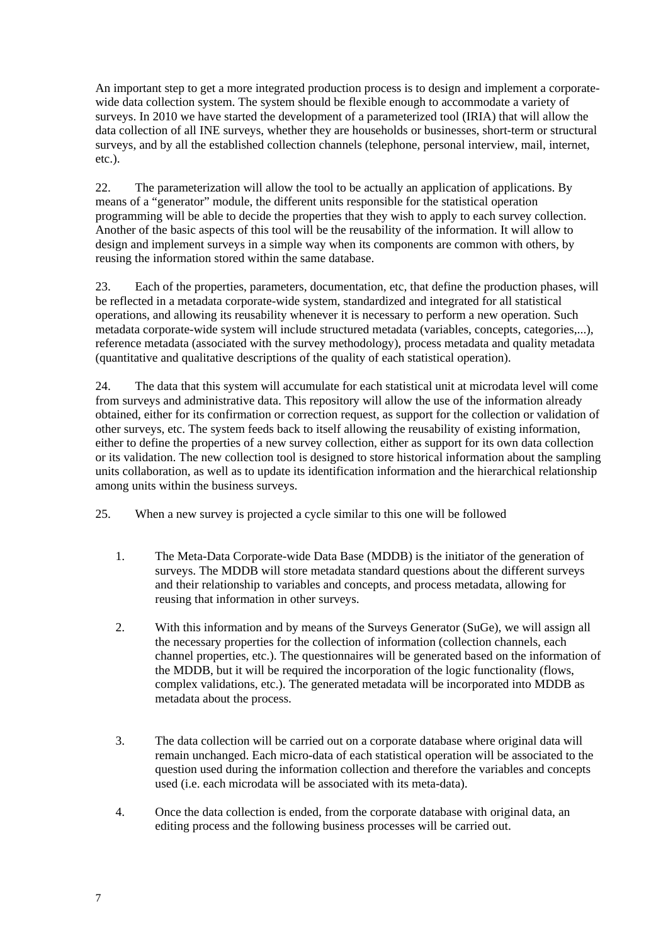An important step to get a more integrated production process is to design and implement a corporatewide data collection system. The system should be flexible enough to accommodate a variety of surveys. In 2010 we have started the development of a parameterized tool (IRIA) that will allow the data collection of all INE surveys, whether they are households or businesses, short-term or structural surveys, and by all the established collection channels (telephone, personal interview, mail, internet, etc.).

22. The parameterization will allow the tool to be actually an application of applications. By means of a "generator" module, the different units responsible for the statistical operation programming will be able to decide the properties that they wish to apply to each survey collection. Another of the basic aspects of this tool will be the reusability of the information. It will allow to design and implement surveys in a simple way when its components are common with others, by reusing the information stored within the same database.

23. Each of the properties, parameters, documentation, etc, that define the production phases, will be reflected in a metadata corporate-wide system, standardized and integrated for all statistical operations, and allowing its reusability whenever it is necessary to perform a new operation. Such metadata corporate-wide system will include structured metadata (variables, concepts, categories,...), reference metadata (associated with the survey methodology), process metadata and quality metadata (quantitative and qualitative descriptions of the quality of each statistical operation).

24. The data that this system will accumulate for each statistical unit at microdata level will come from surveys and administrative data. This repository will allow the use of the information already obtained, either for its confirmation or correction request, as support for the collection or validation of other surveys, etc. The system feeds back to itself allowing the reusability of existing information, either to define the properties of a new survey collection, either as support for its own data collection or its validation. The new collection tool is designed to store historical information about the sampling units collaboration, as well as to update its identification information and the hierarchical relationship among units within the business surveys.

25. When a new survey is projected a cycle similar to this one will be followed

- 1. The Meta-Data Corporate-wide Data Base (MDDB) is the initiator of the generation of surveys. The MDDB will store metadata standard questions about the different surveys and their relationship to variables and concepts, and process metadata, allowing for reusing that information in other surveys.
- 2. With this information and by means of the Surveys Generator (SuGe), we will assign all the necessary properties for the collection of information (collection channels, each channel properties, etc.). The questionnaires will be generated based on the information of the MDDB, but it will be required the incorporation of the logic functionality (flows, complex validations, etc.). The generated metadata will be incorporated into MDDB as metadata about the process.
- 3. The data collection will be carried out on a corporate database where original data will remain unchanged. Each micro-data of each statistical operation will be associated to the question used during the information collection and therefore the variables and concepts used (i.e. each microdata will be associated with its meta-data).
- 4. Once the data collection is ended, from the corporate database with original data, an editing process and the following business processes will be carried out.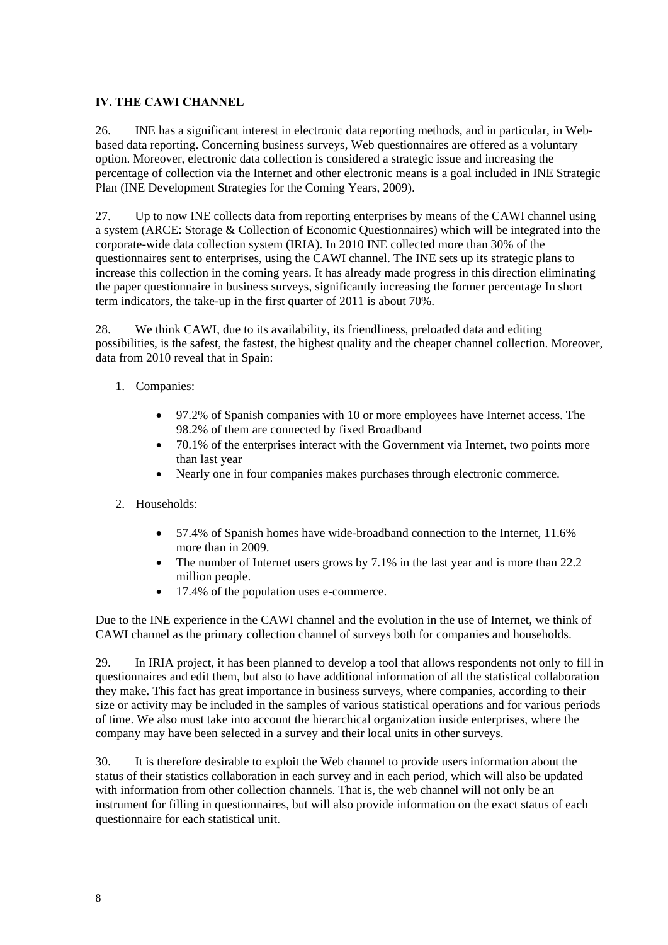## **IV. THE CAWI CHANNEL**

26. INE has a significant interest in electronic data reporting methods, and in particular, in Webbased data reporting. Concerning business surveys, Web questionnaires are offered as a voluntary option. Moreover, electronic data collection is considered a strategic issue and increasing the percentage of collection via the Internet and other electronic means is a goal included in INE Strategic Plan (INE Development Strategies for the Coming Years, 2009).

27. Up to now INE collects data from reporting enterprises by means of the CAWI channel using a system (ARCE: Storage & Collection of Economic Questionnaires) which will be integrated into the corporate-wide data collection system (IRIA). In 2010 INE collected more than 30% of the questionnaires sent to enterprises, using the CAWI channel. The INE sets up its strategic plans to increase this collection in the coming years. It has already made progress in this direction eliminating the paper questionnaire in business surveys, significantly increasing the former percentage In short term indicators, the take-up in the first quarter of 2011 is about 70%.

28. We think CAWI, due to its availability, its friendliness, preloaded data and editing possibilities, is the safest, the fastest, the highest quality and the cheaper channel collection. Moreover, data from 2010 reveal that in Spain:

- 1. Companies:
	- 97.2% of Spanish companies with 10 or more employees have Internet access. The 98.2% of them are connected by fixed Broadband
	- 70.1% of the enterprises interact with the Government via Internet, two points more than last year
	- Nearly one in four companies makes purchases through electronic commerce.
- 2. Households:
	- 57.4% of Spanish homes have wide-broadband connection to the Internet, 11.6% more than in 2009.
	- The number of Internet users grows by 7.1% in the last year and is more than 22.2 million people.
	- 17.4% of the population uses e-commerce.

Due to the INE experience in the CAWI channel and the evolution in the use of Internet, we think of CAWI channel as the primary collection channel of surveys both for companies and households.

29. In IRIA project, it has been planned to develop a tool that allows respondents not only to fill in questionnaires and edit them, but also to have additional information of all the statistical collaboration they make**.** This fact has great importance in business surveys, where companies, according to their size or activity may be included in the samples of various statistical operations and for various periods of time. We also must take into account the hierarchical organization inside enterprises, where the company may have been selected in a survey and their local units in other surveys.

30. It is therefore desirable to exploit the Web channel to provide users information about the status of their statistics collaboration in each survey and in each period, which will also be updated with information from other collection channels. That is, the web channel will not only be an instrument for filling in questionnaires, but will also provide information on the exact status of each questionnaire for each statistical unit.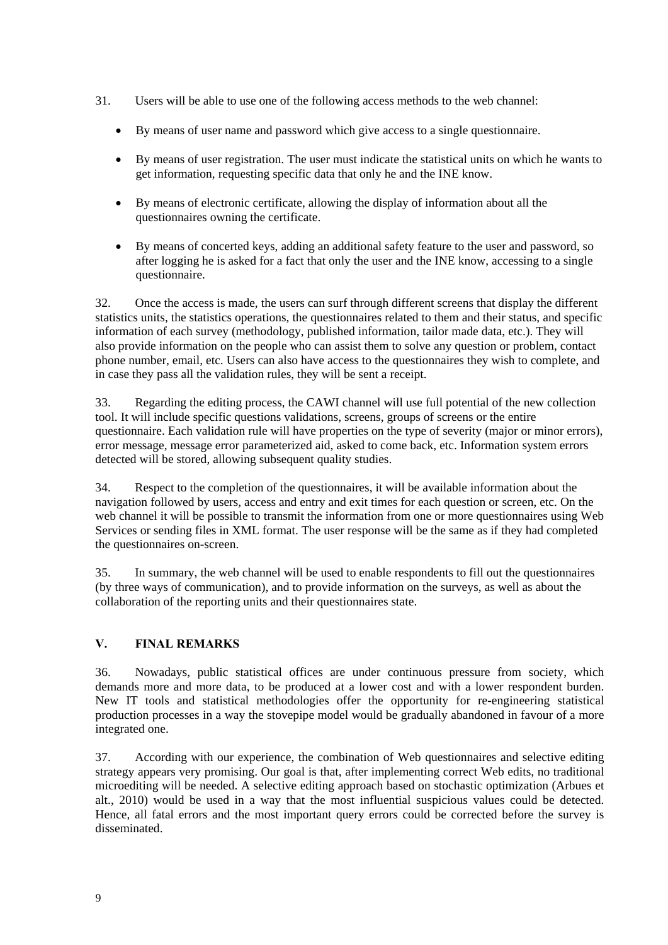- 31. Users will be able to use one of the following access methods to the web channel:
	- By means of user name and password which give access to a single questionnaire.
	- By means of user registration. The user must indicate the statistical units on which he wants to get information, requesting specific data that only he and the INE know.
	- By means of electronic certificate, allowing the display of information about all the questionnaires owning the certificate.
	- By means of concerted keys, adding an additional safety feature to the user and password, so after logging he is asked for a fact that only the user and the INE know, accessing to a single questionnaire.

32. Once the access is made, the users can surf through different screens that display the different statistics units, the statistics operations, the questionnaires related to them and their status, and specific information of each survey (methodology, published information, tailor made data, etc.). They will also provide information on the people who can assist them to solve any question or problem, contact phone number, email, etc. Users can also have access to the questionnaires they wish to complete, and in case they pass all the validation rules, they will be sent a receipt.

33. Regarding the editing process, the CAWI channel will use full potential of the new collection tool. It will include specific questions validations, screens, groups of screens or the entire questionnaire. Each validation rule will have properties on the type of severity (major or minor errors), error message, message error parameterized aid, asked to come back, etc. Information system errors detected will be stored, allowing subsequent quality studies.

34. Respect to the completion of the questionnaires, it will be available information about the navigation followed by users, access and entry and exit times for each question or screen, etc. On the web channel it will be possible to transmit the information from one or more questionnaires using Web Services or sending files in XML format. The user response will be the same as if they had completed the questionnaires on-screen.

35. In summary, the web channel will be used to enable respondents to fill out the questionnaires (by three ways of communication), and to provide information on the surveys, as well as about the collaboration of the reporting units and their questionnaires state.

# **V. FINAL REMARKS**

36. Nowadays, public statistical offices are under continuous pressure from society, which demands more and more data, to be produced at a lower cost and with a lower respondent burden. New IT tools and statistical methodologies offer the opportunity for re-engineering statistical production processes in a way the stovepipe model would be gradually abandoned in favour of a more integrated one.

37. According with our experience, the combination of Web questionnaires and selective editing strategy appears very promising. Our goal is that, after implementing correct Web edits, no traditional microediting will be needed. A selective editing approach based on stochastic optimization (Arbues et alt., 2010) would be used in a way that the most influential suspicious values could be detected. Hence, all fatal errors and the most important query errors could be corrected before the survey is disseminated.